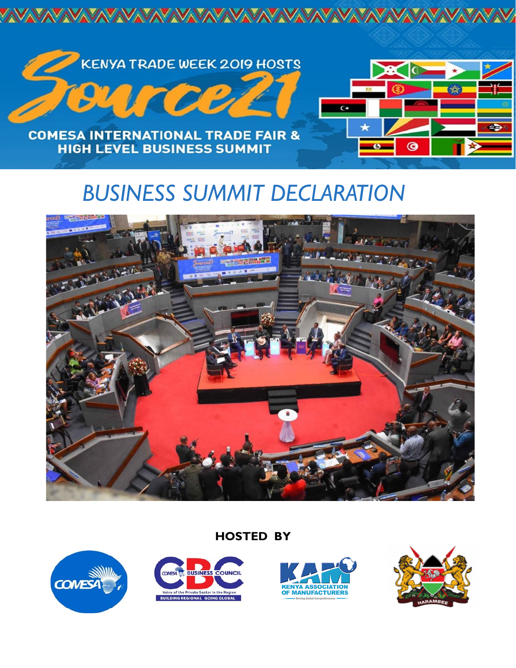

# *BUSINESS SUMMIT DECLARATION*



# **HOSTED BY**







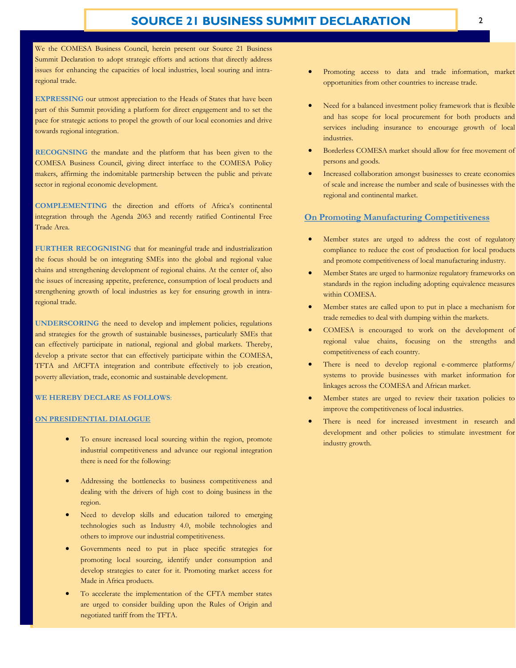We the COMESA Business Council, herein present our Source 21 Business Summit Declaration to adopt strategic efforts and actions that directly address issues for enhancing the capacities of local industries, local souring and intraregional trade.

**EXPRESSING** our utmost appreciation to the Heads of States that have been part of this Summit providing a platform for direct engagement and to set the pace for strategic actions to propel the growth of our local economies and drive towards regional integration.

**RECOGNSING** the mandate and the platform that has been given to the COMESA Business Council, giving direct interface to the COMESA Policy makers, affirming the indomitable partnership between the public and private sector in regional economic development.

**COMPLEMENTING** the direction and efforts of Africa's continental integration through the Agenda 2063 and recently ratified Continental Free Trade Area.

**FURTHER RECOGNISING** that for meaningful trade and industrialization the focus should be on integrating SMEs into the global and regional value chains and strengthening development of regional chains. At the center of, also the issues of increasing appetite, preference, consumption of local products and strengthening growth of local industries as key for ensuring growth in intraregional trade.

**UNDERSCORING** the need to develop and implement policies, regulations and strategies for the growth of sustainable businesses, particularly SMEs that can effectively participate in national, regional and global markets. Thereby, develop a private sector that can effectively participate within the COMESA, TFTA and AfCFTA integration and contribute effectively to job creation, poverty alleviation, trade, economic and sustainable development.

#### **WE HEREBY DECLARE AS FOLLOWS**:

#### **ON PRESIDENTIAL DIALOGUE**

- To ensure increased local sourcing within the region, promote industrial competitiveness and advance our regional integration there is need for the following:
- Addressing the bottlenecks to business competitiveness and dealing with the drivers of high cost to doing business in the region.
- Need to develop skills and education tailored to emerging technologies such as Industry 4.0, mobile technologies and others to improve our industrial competitiveness.
- Governments need to put in place specific strategies for promoting local sourcing, identify under consumption and develop strategies to cater for it. Promoting market access for Made in Africa products.
- To accelerate the implementation of the CFTA member states are urged to consider building upon the Rules of Origin and negotiated tariff from the TFTA.
- Promoting access to data and trade information, market opportunities from other countries to increase trade.
- Need for a balanced investment policy framework that is flexible and has scope for local procurement for both products and services including insurance to encourage growth of local industries.
- Borderless COMESA market should allow for free movement of persons and goods.
- Increased collaboration amongst businesses to create economies of scale and increase the number and scale of businesses with the regional and continental market.

#### **On Promoting Manufacturing Competitiveness**

- Member states are urged to address the cost of regulatory compliance to reduce the cost of production for local products and promote competitiveness of local manufacturing industry.
- Member States are urged to harmonize regulatory frameworks on standards in the region including adopting equivalence measures within COMESA.
- Member states are called upon to put in place a mechanism for trade remedies to deal with dumping within the markets.
- COMESA is encouraged to work on the development of regional value chains, focusing on the strengths and competitiveness of each country.
- There is need to develop regional e-commerce platforms/ systems to provide businesses with market information for linkages across the COMESA and African market.
- Member states are urged to review their taxation policies to improve the competitiveness of local industries.
- There is need for increased investment in research and development and other policies to stimulate investment for industry growth.